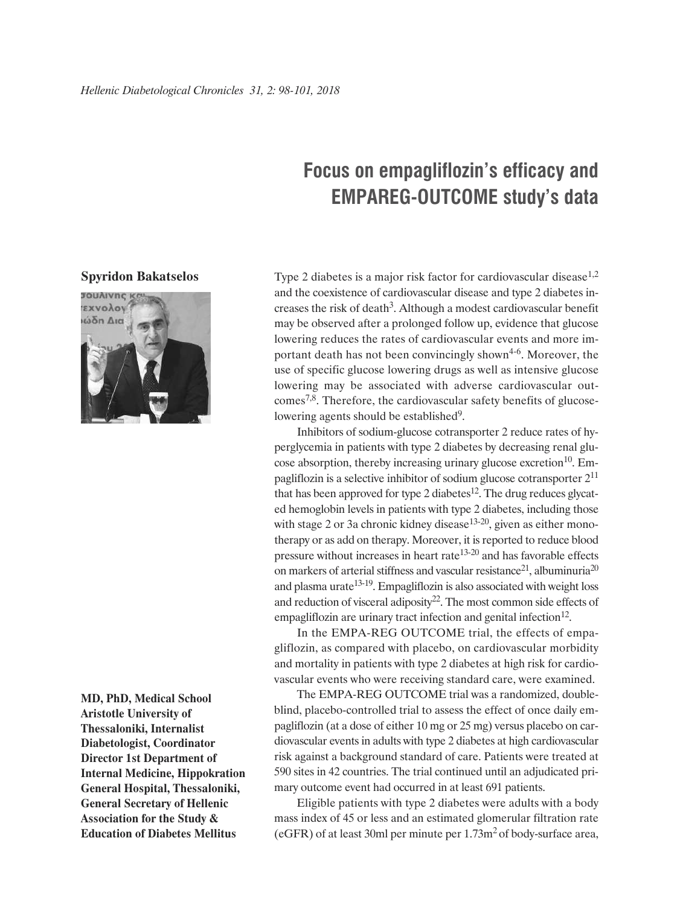## **Focus on empagliflozin's efficacy and EMPAREG-OUTCOME study's data**

## **Spyridon Bakatselos**



**MD, PhD, Medical School Aristotle University of Thessaloniki, Internalist Diabetologist, Coordinator Director 1st Department of Internal Medicine, Hippokration General Hospital, Thessaloniki, General Secretary of Hellenic Association for the Study & Education of Diabetes Mellitus**

Type 2 diabetes is a major risk factor for cardiovascular disease<sup>1,2</sup> and the coexistence of cardiovascular disease and type 2 diabetes increases the risk of death<sup>3</sup>. Although a modest cardiovascular benefit may be observed after a prolonged follow up, evidence that glucose lowering reduces the rates of cardiovascular events and more important death has not been convincingly shown4-6. Moreover, the use of specific glucose lowering drugs as well as intensive glucose lowering may be associated with adverse cardiovascular outcomes7,8. Therefore, the cardiovascular safety benefits of glucoselowering agents should be established<sup>9</sup>.

Inhibitors of sodium-glucose cotransporter 2 reduce rates of hyperglycemia in patients with type 2 diabetes by decreasing renal glucose absorption, thereby increasing urinary glucose excretion $10$ . Empagliflozin is a selective inhibitor of sodium glucose cotransporter 211 that has been approved for type 2 diabetes<sup>12</sup>. The drug reduces glycated hemoglobin levels in patients with type 2 diabetes, including those with stage 2 or 3a chronic kidney disease<sup>13-20</sup>, given as either monotherapy or as add on therapy. Moreover, it is reported to reduce blood pressure without increases in heart rate $13-20$  and has favorable effects on markers of arterial stiffness and vascular resistance<sup>21</sup>, albuminuria<sup>20</sup> and plasma urate $13-19$ . Empagliflozin is also associated with weight loss and reduction of visceral adiposity $22$ . The most common side effects of empagliflozin are urinary tract infection and genital infection<sup>12</sup>.

In the EMPA-REG OUTCOME trial, the effects of empagliflozin, as compared with placebo, on cardiovascular morbidity and mortality in patients with type 2 diabetes at high risk for cardiovascular events who were receiving standard care, were examined.

The EMPA-REG OUTCOME trial was a randomized, doubleblind, placebo-controlled trial to assess the effect of once daily empagliflozin (at a dose of either 10 mg or 25 mg) versus placebo on cardiovascular events in adults with type 2 diabetes at high cardiovascular risk against a background standard of care. Patients were treated at 590 sites in 42 countries. The trial continued until an adjudicated primary outcome event had occurred in at least 691 patients.

Eligible patients with type 2 diabetes were adults with a body mass index of 45 or less and an estimated glomerular filtration rate (eGFR) of at least 30ml per minute per 1.73m2 of body-surface area,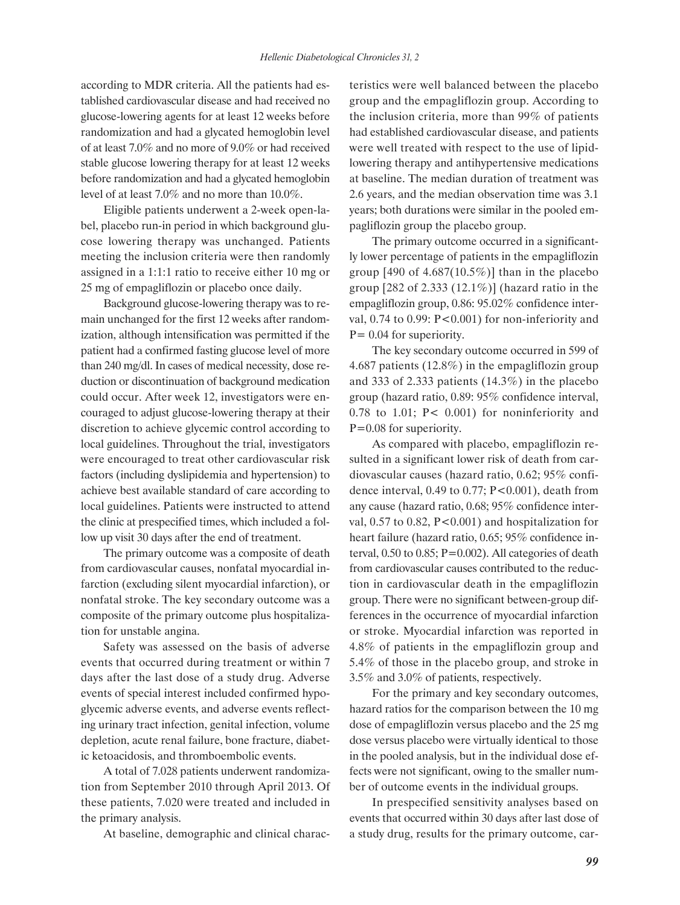according to MDR criteria. All the patients had established cardiovascular disease and had received no glucose-lowering agents for at least 12 weeks before randomization and had a glycated hemoglobin level of at least 7.0% and no more of 9.0% or had received stable glucose lowering therapy for at least 12 weeks before randomization and had a glycated hemoglobin level of at least 7.0% and no more than 10.0%.

Eligible patients underwent a 2-week open-label, placebo run-in period in which background glucose lowering therapy was unchanged. Patients meeting the inclusion criteria were then randomly assigned in a 1:1:1 ratio to receive either 10 mg or 25 mg of empagliflozin or placebo once daily.

Background glucose-lowering therapy was to remain unchanged for the first 12 weeks after randomization, although intensification was permitted if the patient had a confirmed fasting glucose level of more than 240 mg/dl. In cases of medical necessity, dose reduction or discontinuation of background medication could occur. After week 12, investigators were encouraged to adjust glucose-lowering therapy at their discretion to achieve glycemic control according to local guidelines. Throughout the trial, investigators were encouraged to treat other cardiovascular risk factors (including dyslipidemia and hypertension) to achieve best available standard of care according to local guidelines. Patients were instructed to attend the clinic at prespecified times, which included a follow up visit 30 days after the end of treatment.

The primary outcome was a composite of death from cardiovascular causes, nonfatal myocardial infarction (excluding silent myocardial infarction), or nonfatal stroke. The key secondary outcome was a composite of the primary outcome plus hospitalization for unstable angina.

Safety was assessed on the basis of adverse events that occurred during treatment or within 7 days after the last dose of a study drug. Adverse events of special interest included confirmed hypoglycemic adverse events, and adverse events reflecting urinary tract infection, genital infection, volume depletion, acute renal failure, bone fracture, diabetic ketoacidosis, and thromboembolic events.

A total of 7.028 patients underwent randomization from September 2010 through April 2013. Of these patients, 7.020 were treated and included in the primary analysis.

At baseline, demographic and clinical charac-

teristics were well balanced between the placebo group and the empagliflozin group. According to the inclusion criteria, more than 99% of patients had established cardiovascular disease, and patients were well treated with respect to the use of lipidlowering therapy and antihypertensive medications at baseline. The median duration of treatment was 2.6 years, and the median observation time was 3.1 years; both durations were similar in the pooled empagliflozin group the placebo group.

The primary outcome occurred in a significantly lower percentage of patients in the empagliflozin group  $[490 \text{ of } 4.687(10.5\%)]$  than in the placebo group [282 of 2.333 (12.1%)] (hazard ratio in the empagliflozin group, 0.86: 95.02% confidence interval,  $0.74$  to  $0.99$ :  $P < 0.001$ ) for non-inferiority and P= 0.04 for superiority.

The key secondary outcome occurred in 599 of 4.687 patients (12.8%) in the empagliflozin group and 333 of 2.333 patients (14.3%) in the placebo group (hazard ratio, 0.89: 95% confidence interval, 0.78 to 1.01; P< 0.001) for noninferiority and P=0.08 for superiority.

As compared with placebo, empagliflozin resulted in a significant lower risk of death from cardiovascular causes (hazard ratio, 0.62; 95% confidence interval,  $0.49$  to  $0.77$ ;  $P < 0.001$ ), death from any cause (hazard ratio, 0.68; 95% confidence interval,  $0.57$  to  $0.82$ ,  $P<0.001$ ) and hospitalization for heart failure (hazard ratio, 0.65; 95% confidence interval,  $0.50$  to  $0.85$ ; P=0.002). All categories of death from cardiovascular causes contributed to the reduction in cardiovascular death in the empagliflozin group. There were no significant between-group differences in the occurrence of myocardial infarction or stroke. Myocardial infarction was reported in 4.8% of patients in the empagliflozin group and 5.4% of those in the placebo group, and stroke in 3.5% and 3.0% of patients, respectively.

For the primary and key secondary outcomes, hazard ratios for the comparison between the 10 mg dose of empagliflozin versus placebo and the 25 mg dose versus placebo were virtually identical to those in the pooled analysis, but in the individual dose effects were not significant, owing to the smaller number of outcome events in the individual groups.

In prespecified sensitivity analyses based on events that occurred within 30 days after last dose of a study drug, results for the primary outcome, car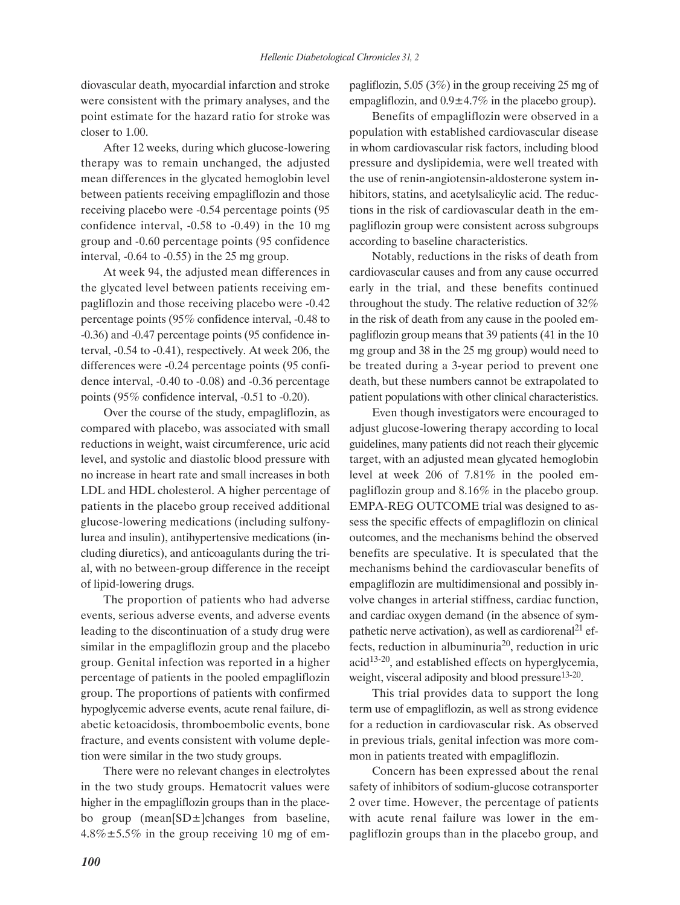diovascular death, myocardial infarction and stroke were consistent with the primary analyses, and the point estimate for the hazard ratio for stroke was closer to 1.00.

After 12 weeks, during which glucose-lowering therapy was to remain unchanged, the adjusted mean differences in the glycated hemoglobin level between patients receiving empagliflozin and those receiving placebo were -0.54 percentage points (95 confidence interval, -0.58 to -0.49) in the 10 mg group and -0.60 percentage points (95 confidence interval, -0.64 to -0.55) in the 25 mg group.

At week 94, the adjusted mean differences in the glycated level between patients receiving empagliflozin and those receiving placebo were -0.42 percentage points (95% confidence interval, -0.48 to -0.36) and -0.47 percentage points (95 confidence interval, -0.54 to -0.41), respectively. At week 206, the differences were -0.24 percentage points (95 confidence interval, -0.40 to -0.08) and -0.36 percentage points (95% confidence interval, -0.51 to -0.20).

Over the course of the study, empagliflozin, as compared with placebo, was associated with small reductions in weight, waist circumference, uric acid level, and systolic and diastolic blood pressure with no increase in heart rate and small increases in both LDL and HDL cholesterol. A higher percentage of patients in the placebo group received additional glucose-lowering medications (including sulfonylurea and insulin), antihypertensive medications (including diuretics), and anticoagulants during the trial, with no between-group difference in the receipt of lipid-lowering drugs.

The proportion of patients who had adverse events, serious adverse events, and adverse events leading to the discontinuation of a study drug were similar in the empagliflozin group and the placebo group. Genital infection was reported in a higher percentage of patients in the pooled empagliflozin group. The proportions of patients with confirmed hypoglycemic adverse events, acute renal failure, diabetic ketoacidosis, thromboembolic events, bone fracture, and events consistent with volume depletion were similar in the two study groups.

There were no relevant changes in electrolytes in the two study groups. Hematocrit values were higher in the empagliflozin groups than in the placebo group (mean[SD±]changes from baseline,  $4.8\% \pm 5.5\%$  in the group receiving 10 mg of empagliflozin, 5.05 (3%) in the group receiving 25 mg of empagliflozin, and  $0.9 \pm 4.7\%$  in the placebo group).

Benefits of empagliflozin were observed in a population with established cardiovascular disease in whom cardiovascular risk factors, including blood pressure and dyslipidemia, were well treated with the use of renin-angiotensin-aldosterone system inhibitors, statins, and acetylsalicylic acid. The reductions in the risk of cardiovascular death in the empagliflozin group were consistent across subgroups according to baseline characteristics.

Notably, reductions in the risks of death from cardiovascular causes and from any cause occurred early in the trial, and these benefits continued throughout the study. The relative reduction of 32% in the risk of death from any cause in the pooled empagliflozin group means that 39 patients (41 in the 10 mg group and 38 in the 25 mg group) would need to be treated during a 3-year period to prevent one death, but these numbers cannot be extrapolated to patient populations with other clinical characteristics.

Even though investigators were encouraged to adjust glucose-lowering therapy according to local guidelines, many patients did not reach their glycemic target, with an adjusted mean glycated hemoglobin level at week 206 of 7.81% in the pooled empagliflozin group and 8.16% in the placebo group. EMPA-REG OUTCOME trial was designed to assess the specific effects of empagliflozin on clinical outcomes, and the mechanisms behind the observed benefits are speculative. It is speculated that the mechanisms behind the cardiovascular benefits of empagliflozin are multidimensional and possibly involve changes in arterial stiffness, cardiac function, and cardiac oxygen demand (in the absence of sympathetic nerve activation), as well as cardiorenal<sup>21</sup> effects, reduction in albuminuria<sup>20</sup>, reduction in uric  $acid<sup>13-20</sup>$ , and established effects on hyperglycemia, weight, visceral adiposity and blood pressure<sup>13-20</sup>.

This trial provides data to support the long term use of empagliflozin, as well as strong evidence for a reduction in cardiovascular risk. As observed in previous trials, genital infection was more common in patients treated with empagliflozin.

Concern has been expressed about the renal safety of inhibitors of sodium-glucose cotransporter 2 over time. However, the percentage of patients with acute renal failure was lower in the empagliflozin groups than in the placebo group, and